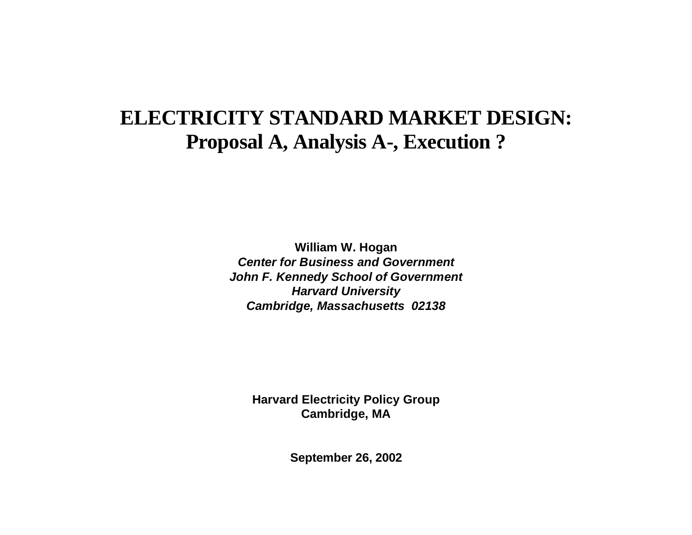# **ELECTRICITY STANDARD MARKET DESIGN: Proposal A, Analysis A-, Execution ?**

**William W. Hogan Center for Business and GovernmentJohn F. Kennedy School of Government Harvard University Cambridge, Massachusetts 02138**

**Harvard Electricity Policy Group Cambridge, MA**

**September 26, 2002**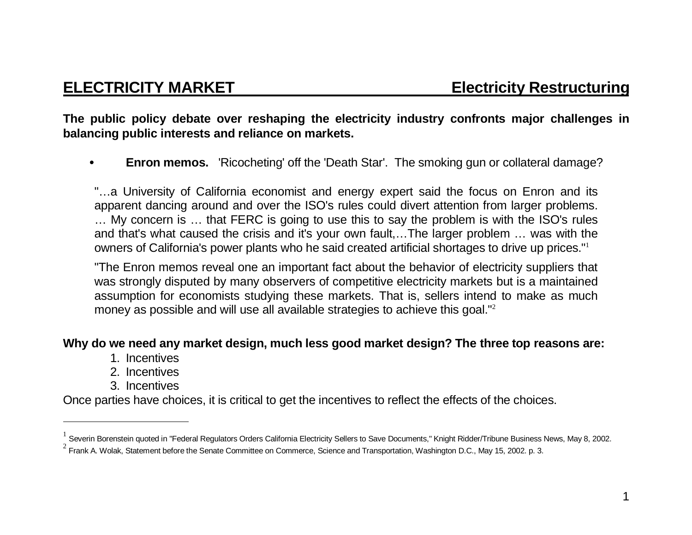**The public policy debate over reshaping the electricity industry confronts major challenges in balancing public interests and reliance on markets.**

• **Enron memos.** 'Ricocheting' off the 'Death Star'. The smoking gun or collateral damage?

"…a University of California economist and energy expert said the focus on Enron and its apparent dancing around and over the ISO's rules could divert attention from larger problems. … My concern is … that FERC is going to use this to say the problem is with the ISO's rules and that's what caused the crisis and it's your own fault,…The larger problem … was with the owners of California's power plants who he said created artificial shortages to drive up prices."<sup>1</sup>

"The Enron memos reveal one an important fact about the behavior of electricity suppliers that was strongly disputed by many observers of competitive electricity markets but is a maintained assumption for economists studying these markets. That is, sellers intend to make as much money as possible and will use all available strategies to achieve this goal."<sup>2</sup>

### **Why do we need any market design, much less good market design? The three top reasons are:**

- 1. Incentives
- 2. Incentives
- 3. Incentives

Once parties have choices, it is critical to get the incentives to reflect the effects of the choices.

 $1$  Severin Borenstein quoted in "Federal Regulators Orders California Electricity Sellers to Save Documents," Knight Ridder/Tribune Business News, May 8, 2002.

 $2$  Frank A. Wolak, Statement before the Senate Committee on Commerce, Science and Transportation, Washington D.C., May 15, 2002. p. 3.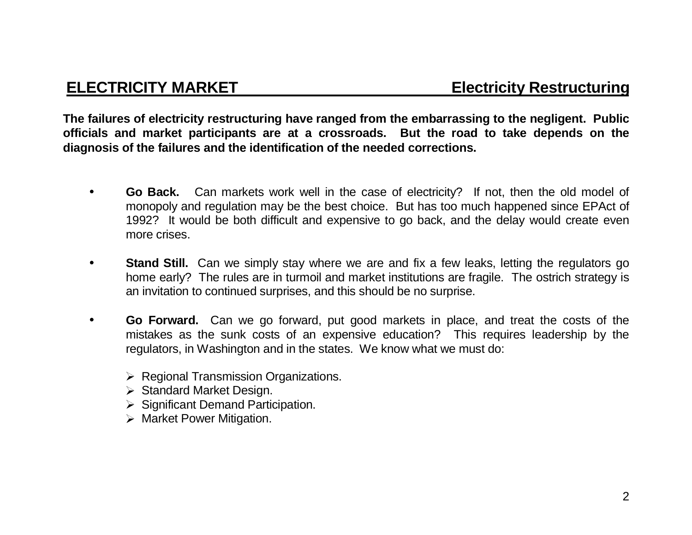**The failures of electricity restructuring have ranged from the embarrassing to the negligent. Public officials and market participants are at a crossroads. But the road to take depends on the diagnosis of the failures and the identification of the needed corrections.**

- **Go Back.** Can markets work well in the case of electricity? If not, then the old model of monopoly and regulation may be the best choice. But has too much happened since EPAct of 1992? It would be both difficult and expensive to go back, and the delay would create even more crises.
- **Stand Still.** Can we simply stay where we are and fix a few leaks, letting the regulators go home early? The rules are in turmoil and market institutions are fragile. The ostrich strategy is an invitation to continued surprises, and this should be no surprise.
- **Go Forward.** Can we go forward, put good markets in place, and treat the costs of the mistakes as the sunk costs of an expensive education? This requires leadership by the regulators, in Washington and in the states. We know what we must do:
	- ¾ Regional Transmission Organizations.
	- ¾ Standard Market Design.
	- $\triangleright$  Significant Demand Participation.
	- ¾ Market Power Mitigation.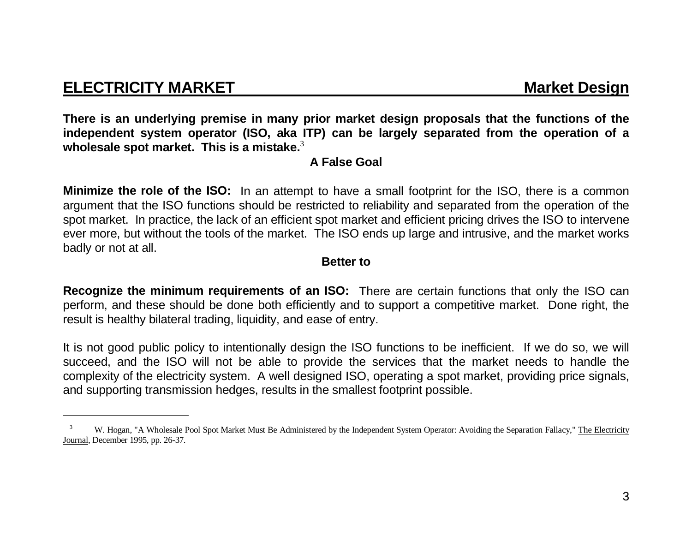## **ELECTRICITY MARKET MARKET** Market Design

**There is an underlying premise in many prior market design proposals that the functions of the independent system operator (ISO, aka ITP) can be largely separated from the operation of a wholesale spot market. This is a mistake.**<sup>3</sup>

#### **A False Goal**

**Minimize the role of the ISO:** In an attempt to have a small footprint for the ISO, there is a common argument that the ISO functions should be restricted to reliability and separated from the operation of the spot market. In practice, the lack of an efficient spot market and efficient pricing drives the ISO to intervene ever more, but without the tools of the market. The ISO ends up large and intrusive, and the market works badly or not at all.

#### **Better to**

**Recognize the minimum requirements of an ISO:** There are certain functions that only the ISO can perform, and these should be done both efficiently and to support a competitive market. Done right, the result is healthy bilateral trading, liquidity, and ease of entry.

It is not good public policy to intentionally design the ISO functions to be inefficient. If we do so, we will succeed, and the ISO will not be able to provide the services that the market needs to handle the complexity of the electricity system. A well designed ISO, operating a spot market, providing price signals, and supporting transmission hedges, results in the smallest footprint possible.

 <sup>3</sup>W. Hogan, "A Wholesale Pool Spot Market Must Be Administered by the Independent System Operator: Avoiding the Separation Fallacy," The Electricity Journal, December 1995, pp. 26-37.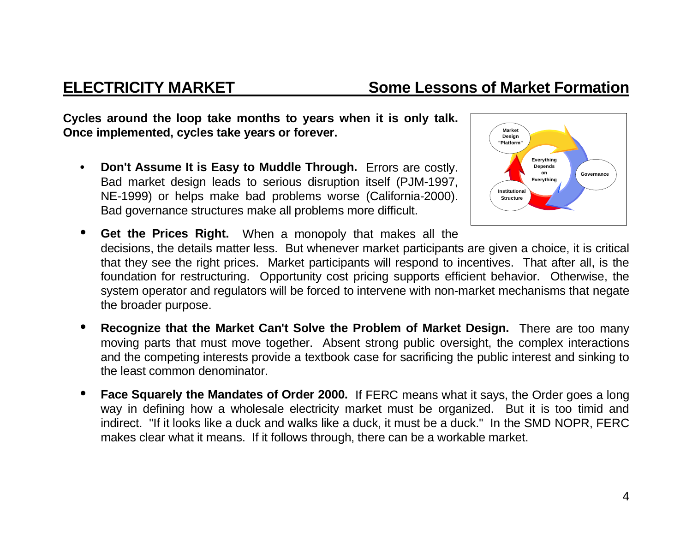## **ELECTRICITY MARKET Some Lessons of Market Formation**

**Cycles around the loop take months to years when it is only talk. Once implemented, cycles take years or forever.**

 $\bullet$  **Don't Assume It is Easy to Muddle Through.** Errors are costly. Bad market design leads to serious disruption itself (PJM-1997, NE-1999) or helps make bad problems worse (California-2000). Bad governance structures make all problems more difficult.



 $\bullet$  **Get the Prices Right.** When a monopoly that makes all the decisions, the details matter less. But whenever market participants are given a choice, it is critical that they see the right prices. Market participants will respond to incentives. That after all, is the foundation for restructuring. Opportunity cost pricing supports efficient behavior. Otherwise, the system operator and regulators will be forced to intervene with non-market mechanisms that negate the broader purpose.

- $\bullet$  **Recognize that the Market Can't Solve the Problem of Market Design.** There are too many moving parts that must move together. Absent strong public oversight, the complex interactions and the competing interests provide a textbook case for sacrificing the public interest and sinking to the least common denominator.
- • **Face Squarely the Mandates of Order 2000.** If FERC means what it says, the Order goes a long way in defining how a wholesale electricity market must be organized. But it is too timid and indirect. "If it looks like a duck and walks like a duck, it must be a duck." In the SMD NOPR, FERC makes clear what it means. If it follows through, there can be a workable market.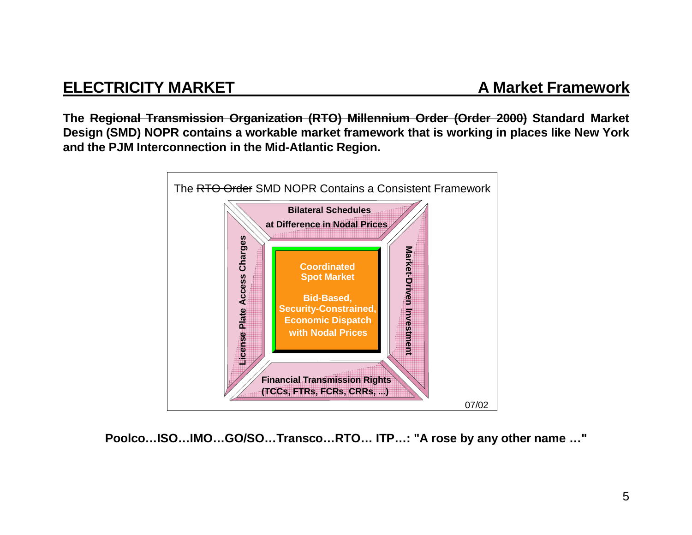# **ELECTRICITY MARKET**

**The Regional Transmission Organization (RTO) Millennium Order (Order 2000) Standard Market Design (SMD) NOPR contains a workable market framework that is working in places like New York and the PJM Interconnection in the Mid-Atlantic Region.**



**Poolco…ISO…IMO…GO/SO…Transco…RTO… ITP…: "A rose by any other name …"**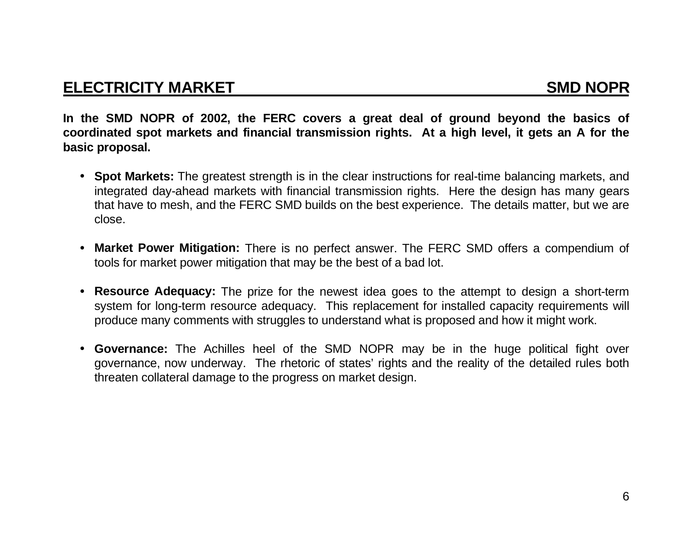### **ELECTRICITY MARKET**

**In the SMD NOPR of 2002, the FERC covers a great deal of ground beyond the basics of coordinated spot markets and financial transmission rights. At a high level, it gets an A for the basic proposal.**

- **Spot Markets:** The greatest strength is in the clear instructions for real-time balancing markets, and integrated day-ahead markets with financial transmission rights. Here the design has many gears that have to mesh, and the FERC SMD builds on the best experience. The details matter, but we are close.
- **Market Power Mitigation:** There is no perfect answer. The FERC SMD offers a compendium of tools for market power mitigation that may be the best of a bad lot.
- **Resource Adequacy:** The prize for the newest idea goes to the attempt to design a short-term system for long-term resource adequacy. This replacement for installed capacity requirements will produce many comments with struggles to understand what is proposed and how it might work.
- **Governance:** The Achilles heel of the SMD NOPR may be in the huge political fight over governance, now underway. The rhetoric of states' rights and the reality of the detailed rules both threaten collateral damage to the progress on market design.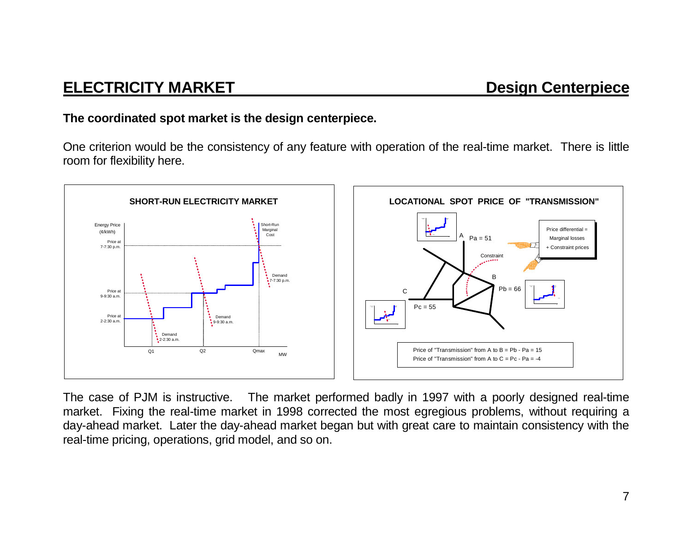# **ELECTRICITY MARKET Design Centerpiece**

### **The coordinated spot market is the design centerpiece.**

One criterion would be the consistency of any feature with operation of the real-time market. There is little room for flexibility here.



The case of PJM is instructive. The market performed badly in 1997 with a poorly designed real-time market. Fixing the real-time market in 1998 corrected the most egregious problems, without requiring a day-ahead market. Later the day-ahead market began but with great care to maintain consistency with the real-time pricing, operations, grid model, and so on.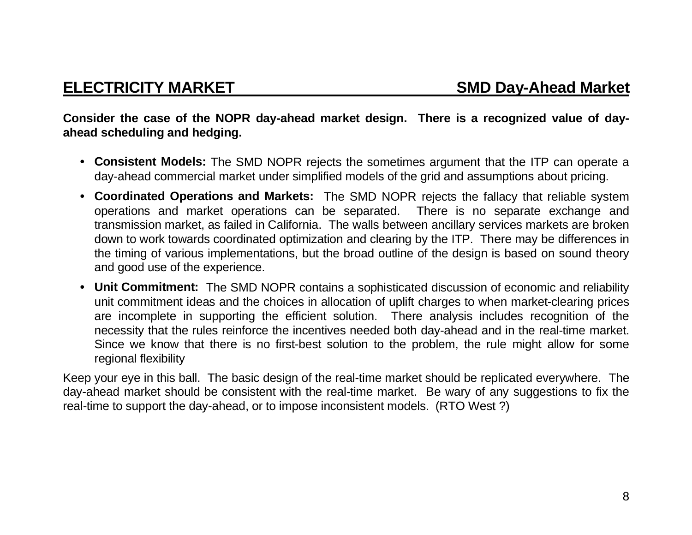**Consider the case of the NOPR day-ahead market design. There is a recognized value of dayahead scheduling and hedging.**

- **Consistent Models:** The SMD NOPR rejects the sometimes argument that the ITP can operate a day-ahead commercial market under simplified models of the grid and assumptions about pricing.
- **Coordinated Operations and Markets:** The SMD NOPR rejects the fallacy that reliable system operations and market operations can be separated. There is no separate exchange and transmission market, as failed in California. The walls between ancillary services markets are broken down to work towards coordinated optimization and clearing by the ITP. There may be differences in the timing of various implementations, but the broad outline of the design is based on sound theory and good use of the experience.
- **Unit Commitment:** The SMD NOPR contains a sophisticated discussion of economic and reliability unit commitment ideas and the choices in allocation of uplift charges to when market-clearing prices are incomplete in supporting the efficient solution. There analysis includes recognition of the necessity that the rules reinforce the incentives needed both day-ahead and in the real-time market. Since we know that there is no first-best solution to the problem, the rule might allow for some regional flexibility

Keep your eye in this ball. The basic design of the real-time market should be replicated everywhere. The day-ahead market should be consistent with the real-time market. Be wary of any suggestions to fix the real-time to support the day-ahead, or to impose inconsistent models. (RTO West ?)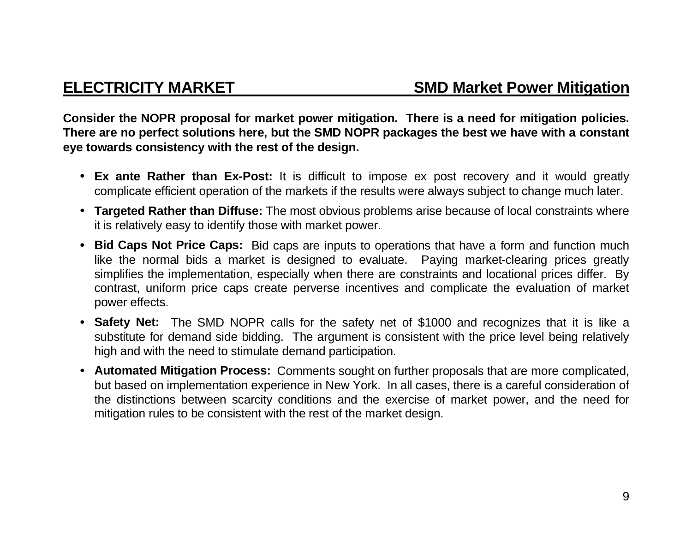**Consider the NOPR proposal for market power mitigation. There is a need for mitigation policies. There are no perfect solutions here, but the SMD NOPR packages the best we have with a constant eye towards consistency with the rest of the design.**

- **Ex ante Rather than Ex-Post:** It is difficult to impose ex post recovery and it would greatly complicate efficient operation of the markets if the results were always subject to change much later.
- **Targeted Rather than Diffuse:** The most obvious problems arise because of local constraints where it is relatively easy to identify those with market power.
- **Bid Caps Not Price Caps:** Bid caps are inputs to operations that have a form and function much like the normal bids a market is designed to evaluate. Paying market-clearing prices greatly simplifies the implementation, especially when there are constraints and locational prices differ. By contrast, uniform price caps create perverse incentives and complicate the evaluation of market power effects.
- **Safety Net:** The SMD NOPR calls for the safety net of \$1000 and recognizes that it is like a substitute for demand side bidding. The argument is consistent with the price level being relatively high and with the need to stimulate demand participation.
- **Automated Mitigation Process:** Comments sought on further proposals that are more complicated, but based on implementation experience in New York. In all cases, there is a careful consideration of the distinctions between scarcity conditions and the exercise of market power, and the need for mitigation rules to be consistent with the rest of the market design.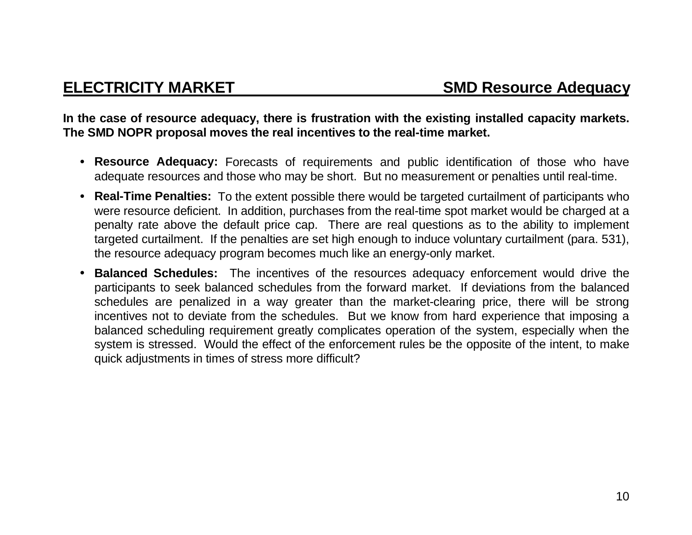**In the case of resource adequacy, there is frustration with the existing installed capacity markets. The SMD NOPR proposal moves the real incentives to the real-time market.**

- **Resource Adequacy:** Forecasts of requirements and public identification of those who have adequate resources and those who may be short. But no measurement or penalties until real-time.
- **Real-Time Penalties:** To the extent possible there would be targeted curtailment of participants who were resource deficient. In addition, purchases from the real-time spot market would be charged at a penalty rate above the default price cap. There are real questions as to the ability to implement targeted curtailment. If the penalties are set high enough to induce voluntary curtailment (para. 531), the resource adequacy program becomes much like an energy-only market.
- **Balanced Schedules:** The incentives of the resources adequacy enforcement would drive the participants to seek balanced schedules from the forward market. If deviations from the balanced schedules are penalized in a way greater than the market-clearing price, there will be strong incentives not to deviate from the schedules. But we know from hard experience that imposing a balanced scheduling requirement greatly complicates operation of the system, especially when the system is stressed. Would the effect of the enforcement rules be the opposite of the intent, to make quick adjustments in times of stress more difficult?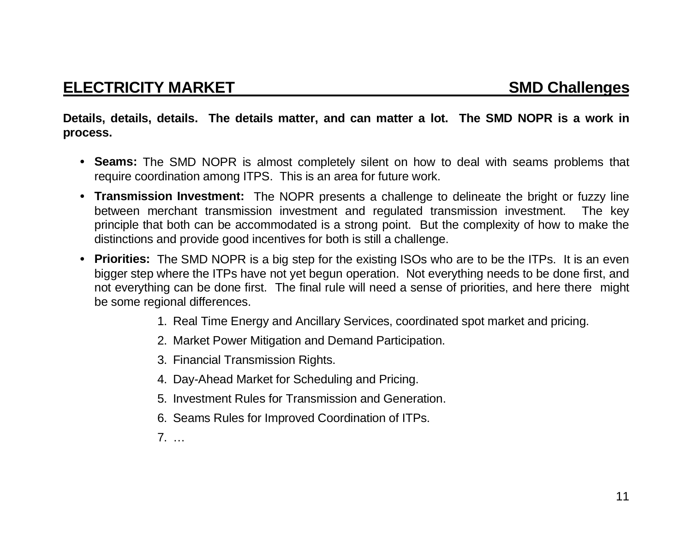**Details, details, details. The details matter, and can matter a lot. The SMD NOPR is a work in process.**

- **Seams:** The SMD NOPR is almost completely silent on how to deal with seams problems that require coordination among ITPS. This is an area for future work.
- **Transmission Investment:** The NOPR presents a challenge to delineate the bright or fuzzy line between merchant transmission investment and regulated transmission investment. The key principle that both can be accommodated is a strong point. But the complexity of how to make the distinctions and provide good incentives for both is still a challenge.
- **Priorities:** The SMD NOPR is a big step for the existing ISOs who are to be the ITPs. It is an even bigger step where the ITPs have not yet begun operation. Not everything needs to be done first, and not everything can be done first. The final rule will need a sense of priorities, and here there might be some regional differences.
	- 1. Real Time Energy and Ancillary Services, coordinated spot market and pricing.
	- 2. Market Power Mitigation and Demand Participation.
	- 3. Financial Transmission Rights.
	- 4. Day-Ahead Market for Scheduling and Pricing.
	- 5. Investment Rules for Transmission and Generation.
	- 6. Seams Rules for Improved Coordination of ITPs.
	- 7.…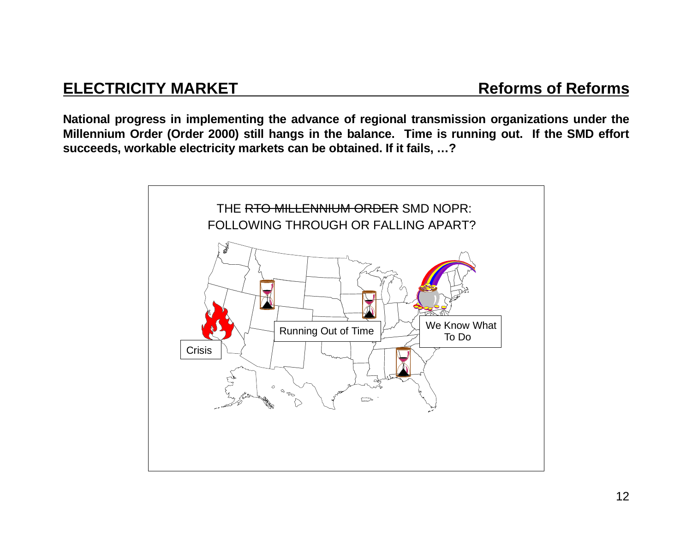# **ELECTRICITY MARKET**

**National progress in implementing the advance of regional transmission organizations under the Millennium Order (Order 2000) still hangs in the balance. Time is running out. If the SMD effort succeeds, workable electricity markets can be obtained. If it fails, … ?**